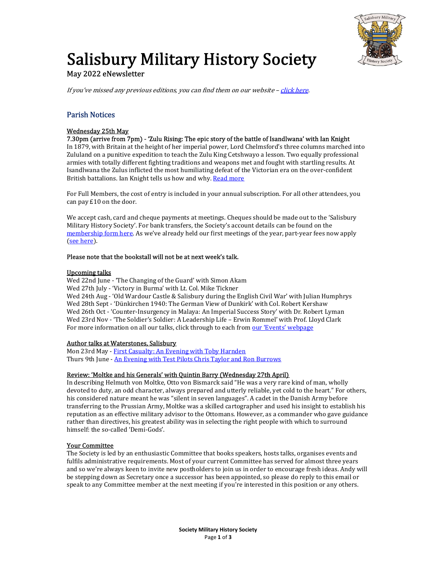

# **Salisbury Military History Society**

# May 2022 eNewsletter

If you've missed any previous editions, you can find them on our website  $-$  click here.

# Parish Notices

# Wednesday 25th May

7.30pm (arrive from 7pm) - 'Zulu Rising: The epic story of the battle of Isandlwana' with Ian Knight In 1879, with Britain at the height of her imperial power, Lord Chelmsford's three columns marched into Zululand on a punitive expedition to teach the Zulu King Cetshwayo a lesson. Two equally professional armies with totally different fighting traditions and weapons met and fought with startling results. At Isandlwana the Zulus inflicted the most humiliating defeat of the Victorian era on the over-confident British battalions. Ian Knight tells us how and why. Read more

For Full Members, the cost of entry is included in your annual subscription. For all other attendees, you can pay £10 on the door.

We accept cash, card and cheque payments at meetings. Cheques should be made out to the 'Salisbury Military History Society'. For bank transfers, the Society's account details can be found on the membership form here. As we've already held our first meetings of the year, part-year fees now apply (see here).

## Please note that the bookstall will not be at next week's talk.

# Upcoming talks

Wed 22nd June - 'The Changing of the Guard' with Simon Akam Wed 27th July - 'Victory in Burma' with Lt. Col. Mike Tickner Wed 24th Aug - 'Old Wardour Castle & Salisbury during the English Civil War' with Julian Humphrys Wed 28th Sept - 'Dünkirchen 1940: The German View of Dunkirk' with Col. Robert Kershaw Wed 26th Oct - 'Counter-Insurgency in Malaya: An Imperial Success Story' with Dr. Robert Lyman Wed 23rd Nov - 'The Soldier's Soldier: A Leadership Life – Erwin Rommel' with Prof. Lloyd Clark For more information on all our talks, click through to each from our 'Events' webpage

# Author talks at Waterstones, Salisbury

Mon 23rd May - First Casualty: An Evening with Toby Harnden Thurs 9th June - An Evening with Test Pilots Chris Taylor and Ron Burrows

# Review: 'Moltke and his Generals' with Quintin Barry (Wednesday 27th April)

In describing Helmuth von Moltke, Otto von Bismarck said "He was a very rare kind of man, wholly devoted to duty, an odd character, always prepared and utterly reliable, yet cold to the heart." For others, his considered nature meant he was "silent in seven languages". A cadet in the Danish Army before transferring to the Prussian Army, Moltke was a skilled cartographer and used his insight to establish his reputation as an effective military advisor to the Ottomans. However, as a commander who gave guidance rather than directives, his greatest ability was in selecting the right people with which to surround himself: the so-called 'Demi-Gods'.

# Your Committee

The Society is led by an enthusiastic Committee that books speakers, hosts talks, organises events and fulfils administrative requirements. Most of your current Committee has served for almost three years and so we're always keen to invite new postholders to join us in order to encourage fresh ideas. Andy will be stepping down as Secretary once a successor has been appointed, so please do reply to this email or speak to any Committee member at the next meeting if you're interested in this position or any others.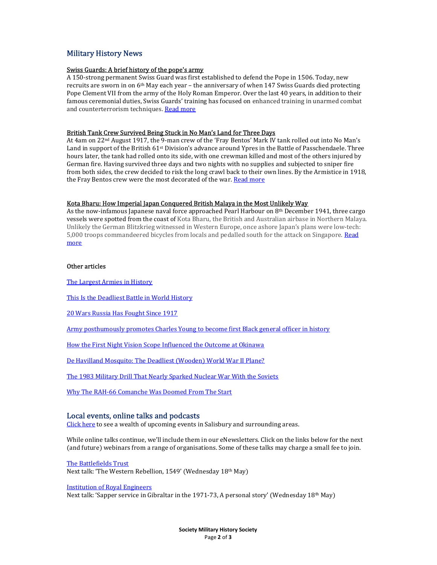# Military History News

#### Swiss Guards: A brief history of the pope's army

A 150-strong permanent Swiss Guard was first established to defend the Pope in 1506. Today, new recruits are sworn in on 6th May each year – the anniversary of when 147 Swiss Guards died protecting Pope Clement VII from the army of the Holy Roman Emperor. Over the last 40 years, in addition to their famous ceremonial duties, Swiss Guards' training has focused on enhanced training in unarmed combat and counterterrorism techniques. Read more

#### British Tank Crew Survived Being Stuck in No Man's Land for Three Days

At 4am on 22nd August 1917, the 9-man crew of the 'Fray Bentos' Mark IV tank rolled out into No Man's Land in support of the British 61<sup>st</sup> Division's advance around Ypres in the Battle of Passchendaele. Three hours later, the tank had rolled onto its side, with one crewman killed and most of the others injured by German fire. Having survived three days and two nights with no supplies and subjected to sniper fire from both sides, the crew decided to risk the long crawl back to their own lines. By the Armistice in 1918, the Fray Bentos crew were the most decorated of the war. Read more

## Kota Bharu: How Imperial Japan Conquered British Malaya in the Most Unlikely Way

As the now-infamous Japanese naval force approached Pearl Harbour on 8<sup>th</sup> December 1941, three cargo vessels were spotted from the coast of Kota Bharu, the British and Australian airbase in Northern Malaya. Unlikely the German Blitzkrieg witnessed in Western Europe, once ashore Japan's plans were low-tech: 5,000 troops commandeered bicycles from locals and pedalled south for the attack on Singapore. Read more

## Other articles

The Largest Armies in History

This Is the Deadliest Battle in World History

20 Wars Russia Has Fought Since 1917

Army posthumously promotes Charles Young to become first Black general officer in history

How the First Night Vision Scope Influenced the Outcome at Okinawa

De Havilland Mosquito: The Deadliest (Wooden) World War II Plane?

The 1983 Military Drill That Nearly Sparked Nuclear War With the Soviets

Why The RAH-66 Comanche Was Doomed From The Start

# Local events, online talks and podcasts

Click here to see a wealth of upcoming events in Salisbury and surrounding areas.

While online talks continue, we'll include them in our eNewsletters. Click on the links below for the next (and future) webinars from a range of organisations. Some of these talks may charge a small fee to join.

The Battlefields Trust

Next talk: 'The Western Rebellion, 1549' (Wednesday 18th May)

Institution of Royal Engineers

Next talk: 'Sapper service in Gibraltar in the 1971-73, A personal story' (Wednesday 18th May)